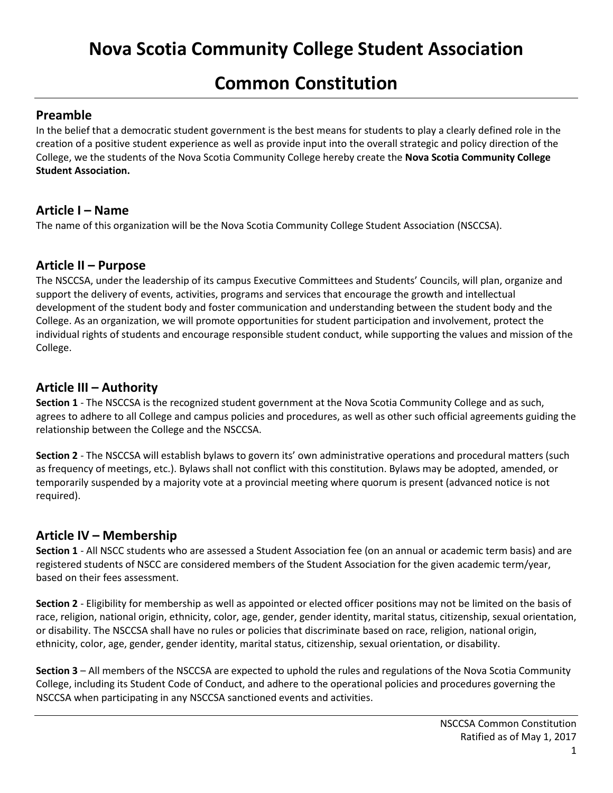# **Common Constitution**

## **Preamble**

In the belief that a democratic student government is the best means for students to play a clearly defined role in the creation of a positive student experience as well as provide input into the overall strategic and policy direction of the College, we the students of the Nova Scotia Community College hereby create the **Nova Scotia Community College Student Association.**

## **Article I – Name**

The name of this organization will be the Nova Scotia Community College Student Association (NSCCSA).

## **Article II – Purpose**

The NSCCSA, under the leadership of its campus Executive Committees and Students' Councils, will plan, organize and support the delivery of events, activities, programs and services that encourage the growth and intellectual development of the student body and foster communication and understanding between the student body and the College. As an organization, we will promote opportunities for student participation and involvement, protect the individual rights of students and encourage responsible student conduct, while supporting the values and mission of the College.

## **Article III – Authority**

**Section 1** - The NSCCSA is the recognized student government at the Nova Scotia Community College and as such, agrees to adhere to all College and campus policies and procedures, as well as other such official agreements guiding the relationship between the College and the NSCCSA.

**Section 2** - The NSCCSA will establish bylaws to govern its' own administrative operations and procedural matters (such as frequency of meetings, etc.). Bylaws shall not conflict with this constitution. Bylaws may be adopted, amended, or temporarily suspended by a majority vote at a provincial meeting where quorum is present (advanced notice is not required).

# **Article IV – Membership**

**Section 1** - All NSCC students who are assessed a Student Association fee (on an annual or academic term basis) and are registered students of NSCC are considered members of the Student Association for the given academic term/year, based on their fees assessment.

**Section 2** - Eligibility for membership as well as appointed or elected officer positions may not be limited on the basis of race, religion, national origin, ethnicity, color, age, gender, gender identity, marital status, citizenship, sexual orientation, or disability. The NSCCSA shall have no rules or policies that discriminate based on race, religion, national origin, ethnicity, color, age, gender, gender identity, marital status, citizenship, sexual orientation, or disability.

**Section 3** – All members of the NSCCSA are expected to uphold the rules and regulations of the Nova Scotia Community College, including its Student Code of Conduct, and adhere to the operational policies and procedures governing the NSCCSA when participating in any NSCCSA sanctioned events and activities.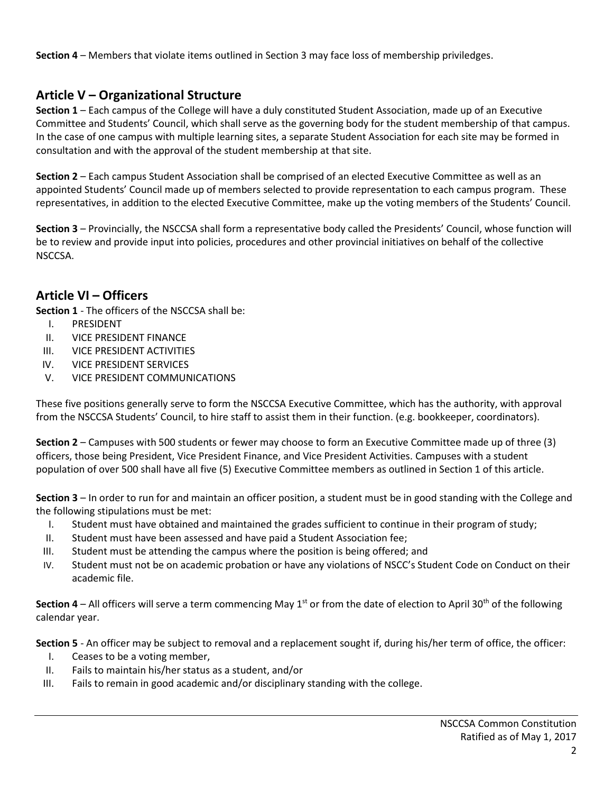**Section 4** – Members that violate items outlined in Section 3 may face loss of membership priviledges.

## **Article V – Organizational Structure**

**Section 1** – Each campus of the College will have a duly constituted Student Association, made up of an Executive Committee and Students' Council, which shall serve as the governing body for the student membership of that campus. In the case of one campus with multiple learning sites, a separate Student Association for each site may be formed in consultation and with the approval of the student membership at that site.

**Section 2** – Each campus Student Association shall be comprised of an elected Executive Committee as well as an appointed Students' Council made up of members selected to provide representation to each campus program. These representatives, in addition to the elected Executive Committee, make up the voting members of the Students' Council.

**Section 3** – Provincially, the NSCCSA shall form a representative body called the Presidents' Council, whose function will be to review and provide input into policies, procedures and other provincial initiatives on behalf of the collective NSCCSA.

## **Article VI – Officers**

**Section 1** - The officers of the NSCCSA shall be:

- I. PRESIDENT
- II. VICE PRESIDENT FINANCE
- III. VICE PRESIDENT ACTIVITIES
- IV. VICE PRESIDENT SERVICES
- V. VICE PRESIDENT COMMUNICATIONS

These five positions generally serve to form the NSCCSA Executive Committee, which has the authority, with approval from the NSCCSA Students' Council, to hire staff to assist them in their function. (e.g. bookkeeper, coordinators).

**Section 2** – Campuses with 500 students or fewer may choose to form an Executive Committee made up of three (3) officers, those being President, Vice President Finance, and Vice President Activities. Campuses with a student population of over 500 shall have all five (5) Executive Committee members as outlined in Section 1 of this article.

**Section 3** – In order to run for and maintain an officer position, a student must be in good standing with the College and the following stipulations must be met:

- I. Student must have obtained and maintained the grades sufficient to continue in their program of study;
- II. Student must have been assessed and have paid a Student Association fee;
- III. Student must be attending the campus where the position is being offered; and
- IV. Student must not be on academic probation or have any violations of NSCC's Student Code on Conduct on their academic file.

**Section 4** – All officers will serve a term commencing May  $1^{st}$  or from the date of election to April 30<sup>th</sup> of the following calendar year.

**Section 5** - An officer may be subject to removal and a replacement sought if, during his/her term of office, the officer:

- I. Ceases to be a voting member,
- II. Fails to maintain his/her status as a student, and/or
- III. Fails to remain in good academic and/or disciplinary standing with the college.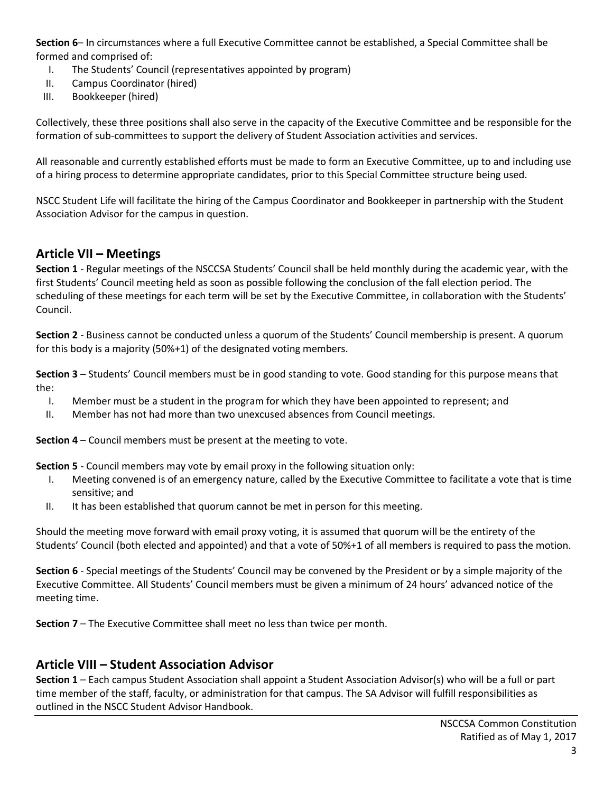**Section 6**– In circumstances where a full Executive Committee cannot be established, a Special Committee shall be formed and comprised of:

- I. The Students' Council (representatives appointed by program)
- II. Campus Coordinator (hired)
- III. Bookkeeper (hired)

Collectively, these three positions shall also serve in the capacity of the Executive Committee and be responsible for the formation of sub-committees to support the delivery of Student Association activities and services.

All reasonable and currently established efforts must be made to form an Executive Committee, up to and including use of a hiring process to determine appropriate candidates, prior to this Special Committee structure being used.

NSCC Student Life will facilitate the hiring of the Campus Coordinator and Bookkeeper in partnership with the Student Association Advisor for the campus in question.

#### **Article VII – Meetings**

**Section 1** - Regular meetings of the NSCCSA Students' Council shall be held monthly during the academic year, with the first Students' Council meeting held as soon as possible following the conclusion of the fall election period. The scheduling of these meetings for each term will be set by the Executive Committee, in collaboration with the Students' Council.

**Section 2** - Business cannot be conducted unless a quorum of the Students' Council membership is present. A quorum for this body is a majority (50%+1) of the designated voting members.

**Section 3** – Students' Council members must be in good standing to vote. Good standing for this purpose means that the:

- I. Member must be a student in the program for which they have been appointed to represent; and
- II. Member has not had more than two unexcused absences from Council meetings.

**Section 4** – Council members must be present at the meeting to vote.

**Section 5** - Council members may vote by email proxy in the following situation only:

- I. Meeting convened is of an emergency nature, called by the Executive Committee to facilitate a vote that is time sensitive; and
- II. It has been established that quorum cannot be met in person for this meeting.

Should the meeting move forward with email proxy voting, it is assumed that quorum will be the entirety of the Students' Council (both elected and appointed) and that a vote of 50%+1 of all members is required to pass the motion.

**Section 6** - Special meetings of the Students' Council may be convened by the President or by a simple majority of the Executive Committee. All Students' Council members must be given a minimum of 24 hours' advanced notice of the meeting time.

**Section 7** – The Executive Committee shall meet no less than twice per month.

## **Article VIII – Student Association Advisor**

**Section 1** – Each campus Student Association shall appoint a Student Association Advisor(s) who will be a full or part time member of the staff, faculty, or administration for that campus. The SA Advisor will fulfill responsibilities as outlined in the NSCC Student Advisor Handbook.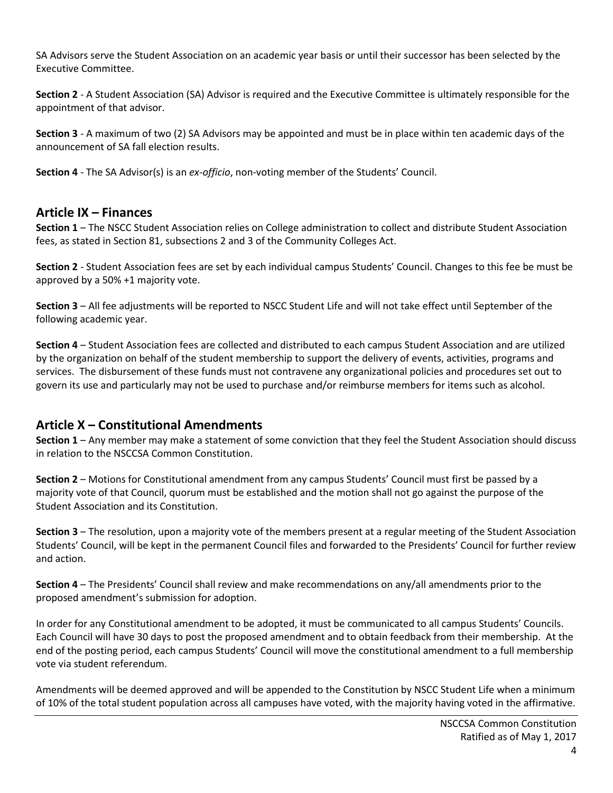SA Advisors serve the Student Association on an academic year basis or until their successor has been selected by the Executive Committee.

**Section 2** - A Student Association (SA) Advisor is required and the Executive Committee is ultimately responsible for the appointment of that advisor.

**Section 3** - A maximum of two (2) SA Advisors may be appointed and must be in place within ten academic days of the announcement of SA fall election results.

**Section 4** - The SA Advisor(s) is an *ex-officio*, non-voting member of the Students' Council.

#### **Article IX – Finances**

**Section 1** – The NSCC Student Association relies on College administration to collect and distribute Student Association fees, as stated in Section 81, subsections 2 and 3 of the Community Colleges Act.

**Section 2** - Student Association fees are set by each individual campus Students' Council. Changes to this fee be must be approved by a 50% +1 majority vote.

**Section 3** – All fee adjustments will be reported to NSCC Student Life and will not take effect until September of the following academic year.

**Section 4** – Student Association fees are collected and distributed to each campus Student Association and are utilized by the organization on behalf of the student membership to support the delivery of events, activities, programs and services. The disbursement of these funds must not contravene any organizational policies and procedures set out to govern its use and particularly may not be used to purchase and/or reimburse members for items such as alcohol.

## **Article X – Constitutional Amendments**

**Section 1** – Any member may make a statement of some conviction that they feel the Student Association should discuss in relation to the NSCCSA Common Constitution.

**Section 2** – Motions for Constitutional amendment from any campus Students' Council must first be passed by a majority vote of that Council, quorum must be established and the motion shall not go against the purpose of the Student Association and its Constitution.

**Section 3** – The resolution, upon a majority vote of the members present at a regular meeting of the Student Association Students' Council, will be kept in the permanent Council files and forwarded to the Presidents' Council for further review and action.

**Section 4** – The Presidents' Council shall review and make recommendations on any/all amendments prior to the proposed amendment's submission for adoption.

In order for any Constitutional amendment to be adopted, it must be communicated to all campus Students' Councils. Each Council will have 30 days to post the proposed amendment and to obtain feedback from their membership. At the end of the posting period, each campus Students' Council will move the constitutional amendment to a full membership vote via student referendum.

Amendments will be deemed approved and will be appended to the Constitution by NSCC Student Life when a minimum of 10% of the total student population across all campuses have voted, with the majority having voted in the affirmative.